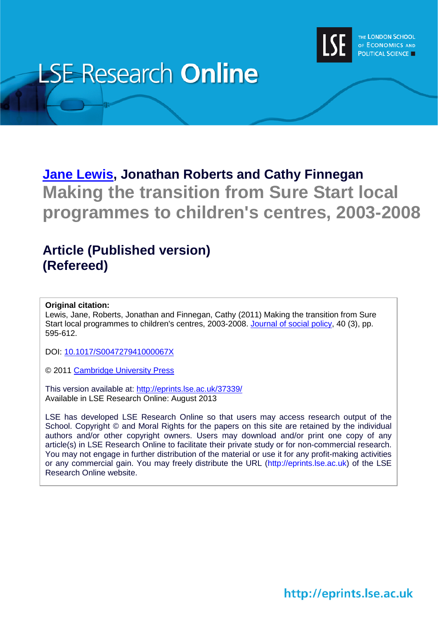

# **LSE Research Online**

# **[Jane Lewis,](http://www.lse.ac.uk/researchAndExpertise/Experts/profile.aspx?KeyValue=j.lewis%40lse.ac.uk) Jonathan Roberts and Cathy Finnegan Making the transition from Sure Start local programmes to children's centres, 2003-2008**

# **Article (Published version) (Refereed)**

#### **Original citation:**

Lewis, Jane, Roberts, Jonathan and Finnegan, Cathy (2011) Making the transition from Sure Start local programmes to children's centres, 2003-2008. [Journal of social policy,](http://journals.cambridge.org/action/displayJournal?jid=JSP) 40 (3), pp. 595-612.

DOI: [10.1017/S004727941000067X](http://dx.doi.org/10.1017/S004727941000067X)

© 2011 [Cambridge University Press](http://www.cambridge.org/)

This version available at:<http://eprints.lse.ac.uk/37339/> Available in LSE Research Online: August 2013

LSE has developed LSE Research Online so that users may access research output of the School. Copyright © and Moral Rights for the papers on this site are retained by the individual authors and/or other copyright owners. Users may download and/or print one copy of any article(s) in LSE Research Online to facilitate their private study or for non-commercial research. You may not engage in further distribution of the material or use it for any profit-making activities or any commercial gain. You may freely distribute the URL (http://eprints.lse.ac.uk) of the LSE Research Online website.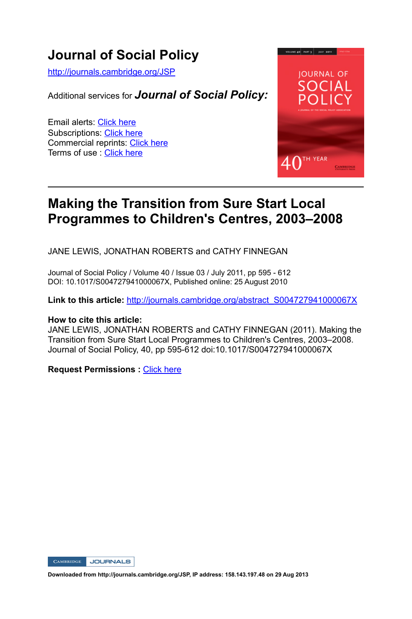## **Journal of Social Policy**

http://journals.cambridge.org/JSP

Additional services for *Journal of Social Policy:*

Email alerts: Click here Subscriptions: Click here Commercial reprints: Click here Terms of use : Click here



### **Making the Transition from Sure Start Local Programmes to Children's Centres, 2003–2008**

JANE LEWIS, JONATHAN ROBERTS and CATHY FINNEGAN

Journal of Social Policy / Volume 40 / Issue 03 / July 2011, pp 595 - 612 DOI: 10.1017/S004727941000067X, Published online: 25 August 2010

**Link to this article:** http://journals.cambridge.org/abstract\_S004727941000067X

#### **How to cite this article:**

JANE LEWIS, JONATHAN ROBERTS and CATHY FINNEGAN (2011). Making the Transition from Sure Start Local Programmes to Children's Centres, 2003–2008. Journal of Social Policy, 40, pp 595-612 doi:10.1017/S004727941000067X

**Request Permissions :** Click here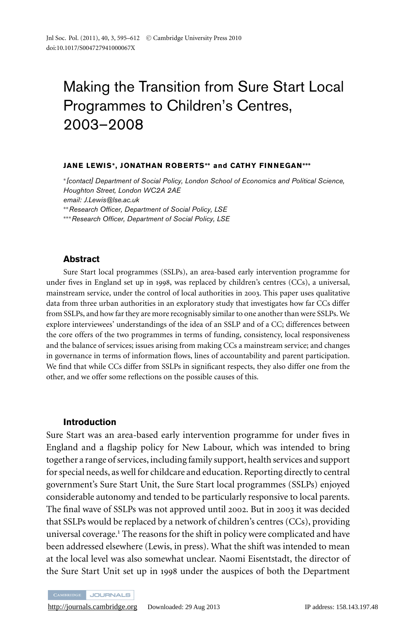# Making the Transition from Sure Start Local Programmes to Children's Centres, 2003–2008

#### **JANE LEWIS∗, JONATHAN ROBE RTS∗∗ and CATHY F I N NEGAN∗∗∗**

<sup>∗</sup>*[contact] Department of Social Policy, London School of Economics and Political Science, Houghton Street, London WC2A 2AE email: J.Lewis@lse.ac.uk* ∗∗*Research Officer, Department of Social Policy, LSE* ∗∗∗*Research Officer, Department of Social Policy, LSE*

#### **Abstract**

Sure Start local programmes (SSLPs), an area-based early intervention programme for under fives in England set up in 1998, was replaced by children's centres (CCs), a universal, mainstream service, under the control of local authorities in 2003. This paper uses qualitative data from three urban authorities in an exploratory study that investigates how far CCs differ from SSLPs, and how far they are more recognisably similar to one another than were SSLPs. We explore interviewees' understandings of the idea of an SSLP and of a CC; differences between the core offers of the two programmes in terms of funding, consistency, local responsiveness and the balance of services; issues arising from making CCs a mainstream service; and changes in governance in terms of information flows, lines of accountability and parent participation. We find that while CCs differ from SSLPs in significant respects, they also differ one from the other, and we offer some reflections on the possible causes of this.

#### **Introduction**

Sure Start was an area-based early intervention programme for under fives in England and a flagship policy for New Labour, which was intended to bring together a range of services, including family support, health services and support for special needs, as well for childcare and education. Reporting directly to central government's Sure Start Unit, the Sure Start local programmes (SSLPs) enjoyed considerable autonomy and tended to be particularly responsive to local parents. The final wave of SSLPs was not approved until 2002. But in 2003 it was decided that SSLPs would be replaced by a network of children's centres (CCs), providing universal coverage.<sup>1</sup> The reasons for the shift in policy were complicated and have been addressed elsewhere (Lewis, in press). What the shift was intended to mean at the local level was also somewhat unclear. Naomi Eisentstadt, the director of the Sure Start Unit set up in 1998 under the auspices of both the Department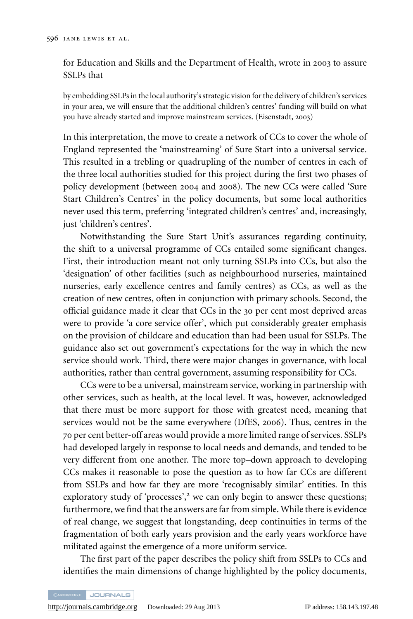for Education and Skills and the Department of Health, wrote in 2003 to assure SSLPs that

by embedding SSLPs in the local authority's strategic vision for the delivery of children's services in your area, we will ensure that the additional children's centres' funding will build on what you have already started and improve mainstream services. (Eisenstadt, 2003)

In this interpretation, the move to create a network of CCs to cover the whole of England represented the 'mainstreaming' of Sure Start into a universal service. This resulted in a trebling or quadrupling of the number of centres in each of the three local authorities studied for this project during the first two phases of policy development (between 2004 and 2008). The new CCs were called 'Sure Start Children's Centres' in the policy documents, but some local authorities never used this term, preferring 'integrated children's centres' and, increasingly, just 'children's centres'.

Notwithstanding the Sure Start Unit's assurances regarding continuity, the shift to a universal programme of CCs entailed some significant changes. First, their introduction meant not only turning SSLPs into CCs, but also the 'designation' of other facilities (such as neighbourhood nurseries, maintained nurseries, early excellence centres and family centres) as CCs, as well as the creation of new centres, often in conjunction with primary schools. Second, the official guidance made it clear that CCs in the 30 per cent most deprived areas were to provide 'a core service offer', which put considerably greater emphasis on the provision of childcare and education than had been usual for SSLPs. The guidance also set out government's expectations for the way in which the new service should work. Third, there were major changes in governance, with local authorities, rather than central government, assuming responsibility for CCs.

CCs were to be a universal, mainstream service, working in partnership with other services, such as health, at the local level. It was, however, acknowledged that there must be more support for those with greatest need, meaning that services would not be the same everywhere (DfES, 2006). Thus, centres in the 70 per cent better-off areas would provide a more limited range of services. SSLPs had developed largely in response to local needs and demands, and tended to be very different from one another. The more top–down approach to developing CCs makes it reasonable to pose the question as to how far CCs are different from SSLPs and how far they are more 'recognisably similar' entities. In this exploratory study of 'processes', $2$ ' we can only begin to answer these questions; furthermore, we find that the answers are far from simple. While there is evidence of real change, we suggest that longstanding, deep continuities in terms of the fragmentation of both early years provision and the early years workforce have militated against the emergence of a more uniform service.

The first part of the paper describes the policy shift from SSLPs to CCs and identifies the main dimensions of change highlighted by the policy documents,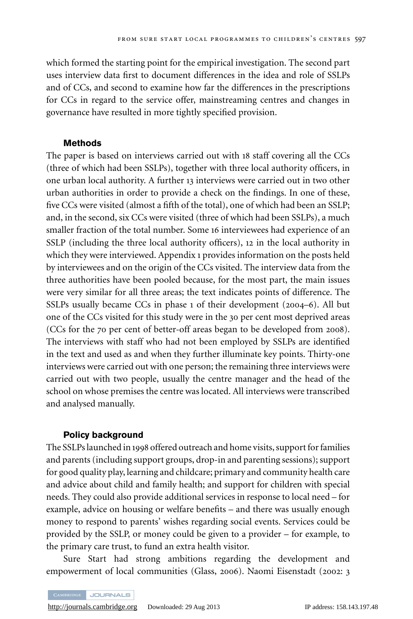which formed the starting point for the empirical investigation. The second part uses interview data first to document differences in the idea and role of SSLPs and of CCs, and second to examine how far the differences in the prescriptions for CCs in regard to the service offer, mainstreaming centres and changes in governance have resulted in more tightly specified provision.

#### **Methods**

The paper is based on interviews carried out with 18 staff covering all the CCs (three of which had been SSLPs), together with three local authority officers, in one urban local authority. A further 13 interviews were carried out in two other urban authorities in order to provide a check on the findings. In one of these, five CCs were visited (almost a fifth of the total), one of which had been an SSLP; and, in the second, six CCs were visited (three of which had been SSLPs), a much smaller fraction of the total number. Some 16 interviewees had experience of an SSLP (including the three local authority officers), 12 in the local authority in which they were interviewed. Appendix 1 provides information on the posts held by interviewees and on the origin of the CCs visited. The interview data from the three authorities have been pooled because, for the most part, the main issues were very similar for all three areas; the text indicates points of difference. The SSLPs usually became CCs in phase 1 of their development (2004–6). All but one of the CCs visited for this study were in the 30 per cent most deprived areas (CCs for the 70 per cent of better-off areas began to be developed from 2008). The interviews with staff who had not been employed by SSLPs are identified in the text and used as and when they further illuminate key points. Thirty-one interviews were carried out with one person; the remaining three interviews were carried out with two people, usually the centre manager and the head of the school on whose premises the centre was located. All interviews were transcribed and analysed manually.

#### **Policy background**

The SSLPs launched in 1998 offered outreach and home visits, support for families and parents (including support groups, drop-in and parenting sessions); support for good quality play, learning and childcare; primary and community health care and advice about child and family health; and support for children with special needs. They could also provide additional services in response to local need – for example, advice on housing or welfare benefits – and there was usually enough money to respond to parents' wishes regarding social events. Services could be provided by the SSLP, or money could be given to a provider – for example, to the primary care trust, to fund an extra health visitor.

Sure Start had strong ambitions regarding the development and empowerment of local communities (Glass, 2006). Naomi Eisenstadt (2002: 3

CAMBRIDGE JOURNALS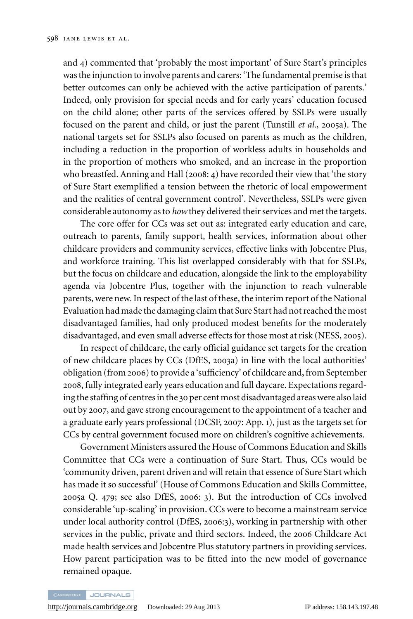and 4) commented that 'probably the most important' of Sure Start's principles was the injunction to involve parents and carers: 'The fundamental premise is that better outcomes can only be achieved with the active participation of parents.' Indeed, only provision for special needs and for early years' education focused on the child alone; other parts of the services offered by SSLPs were usually focused on the parent and child, or just the parent (Tunstill *et al.*, 2005a). The national targets set for SSLPs also focused on parents as much as the children, including a reduction in the proportion of workless adults in households and in the proportion of mothers who smoked, and an increase in the proportion who breastfed. Anning and Hall (2008: 4) have recorded their view that 'the story of Sure Start exemplified a tension between the rhetoric of local empowerment and the realities of central government control'. Nevertheless, SSLPs were given considerable autonomy as to *how*they delivered their services and met the targets.

The core offer for CCs was set out as: integrated early education and care, outreach to parents, family support, health services, information about other childcare providers and community services, effective links with Jobcentre Plus, and workforce training. This list overlapped considerably with that for SSLPs, but the focus on childcare and education, alongside the link to the employability agenda via Jobcentre Plus, together with the injunction to reach vulnerable parents, were new. In respect of the last of these, the interim report of the National Evaluation had made the damaging claim that Sure Start had not reached the most disadvantaged families, had only produced modest benefits for the moderately disadvantaged, and even small adverse effects for those most at risk (NESS, 2005).

In respect of childcare, the early official guidance set targets for the creation of new childcare places by CCs (DfES, 2003a) in line with the local authorities' obligation (from 2006) to provide a 'sufficiency' of childcare and, from September 2008, fully integrated early years education and full daycare. Expectations regarding the staffing of centres in the 30 per cent most disadvantaged areas were also laid out by 2007, and gave strong encouragement to the appointment of a teacher and a graduate early years professional (DCSF, 2007: App. 1), just as the targets set for CCs by central government focused more on children's cognitive achievements.

Government Ministers assured the House of Commons Education and Skills Committee that CCs were a continuation of Sure Start. Thus, CCs would be 'community driven, parent driven and will retain that essence of Sure Start which has made it so successful' (House of Commons Education and Skills Committee, 2005a Q. 479; see also DfES, 2006: 3). But the introduction of CCs involved considerable 'up-scaling' in provision. CCs were to become a mainstream service under local authority control (DfES, 2006:3), working in partnership with other services in the public, private and third sectors. Indeed, the 2006 Childcare Act made health services and Jobcentre Plus statutory partners in providing services. How parent participation was to be fitted into the new model of governance remained opaque.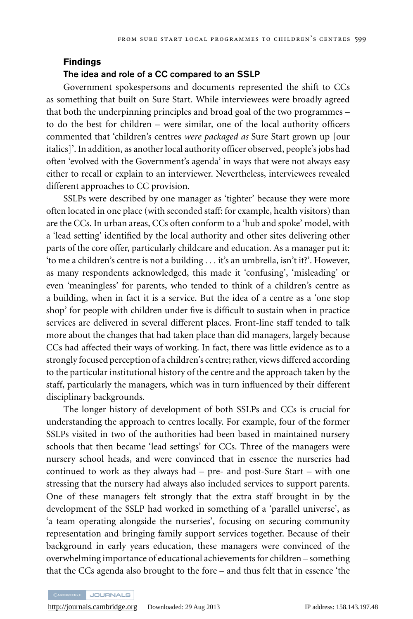#### **Findings**

#### **The idea and role of a CC compared to an SSLP**

Government spokespersons and documents represented the shift to CCs as something that built on Sure Start. While interviewees were broadly agreed that both the underpinning principles and broad goal of the two programmes – to do the best for children – were similar, one of the local authority officers commented that 'children's centres *were packaged as* Sure Start grown up [our italics]'. In addition, as another local authority officer observed, people's jobs had often 'evolved with the Government's agenda' in ways that were not always easy either to recall or explain to an interviewer. Nevertheless, interviewees revealed different approaches to CC provision.

SSLPs were described by one manager as 'tighter' because they were more often located in one place (with seconded staff: for example, health visitors) than are the CCs. In urban areas, CCs often conform to a 'hub and spoke' model, with a 'lead setting' identified by the local authority and other sites delivering other parts of the core offer, particularly childcare and education. As a manager put it: 'to me a children's centre is not a building *...* it's an umbrella, isn't it?'. However, as many respondents acknowledged, this made it 'confusing', 'misleading' or even 'meaningless' for parents, who tended to think of a children's centre as a building, when in fact it is a service. But the idea of a centre as a 'one stop shop' for people with children under five is difficult to sustain when in practice services are delivered in several different places. Front-line staff tended to talk more about the changes that had taken place than did managers, largely because CCs had affected their ways of working. In fact, there was little evidence as to a strongly focused perception of a children's centre; rather, views differed according to the particular institutional history of the centre and the approach taken by the staff, particularly the managers, which was in turn influenced by their different disciplinary backgrounds.

The longer history of development of both SSLPs and CCs is crucial for understanding the approach to centres locally. For example, four of the former SSLPs visited in two of the authorities had been based in maintained nursery schools that then became 'lead settings' for CCs. Three of the managers were nursery school heads, and were convinced that in essence the nurseries had continued to work as they always had – pre- and post-Sure Start – with one stressing that the nursery had always also included services to support parents. One of these managers felt strongly that the extra staff brought in by the development of the SSLP had worked in something of a 'parallel universe', as 'a team operating alongside the nurseries', focusing on securing community representation and bringing family support services together. Because of their background in early years education, these managers were convinced of the overwhelming importance of educational achievements for children – something that the CCs agenda also brought to the fore – and thus felt that in essence 'the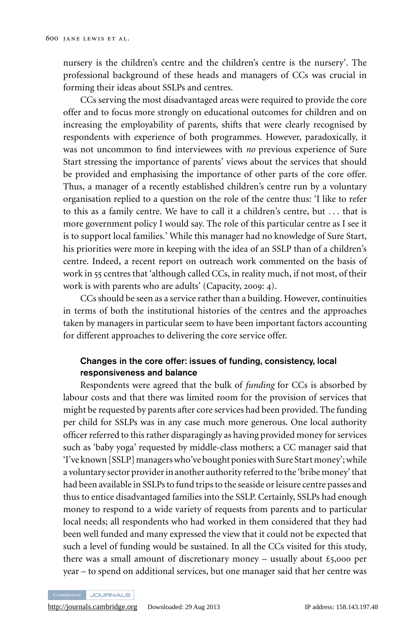nursery is the children's centre and the children's centre is the nursery'. The professional background of these heads and managers of CCs was crucial in forming their ideas about SSLPs and centres.

CCs serving the most disadvantaged areas were required to provide the core offer and to focus more strongly on educational outcomes for children and on increasing the employability of parents, shifts that were clearly recognised by respondents with experience of both programmes. However, paradoxically, it was not uncommon to find interviewees with *no* previous experience of Sure Start stressing the importance of parents' views about the services that should be provided and emphasising the importance of other parts of the core offer. Thus, a manager of a recently established children's centre run by a voluntary organisation replied to a question on the role of the centre thus: 'I like to refer to this as a family centre. We have to call it a children's centre, but *...* that is more government policy I would say. The role of this particular centre as I see it is to support local families.' While this manager had no knowledge of Sure Start, his priorities were more in keeping with the idea of an SSLP than of a children's centre. Indeed, a recent report on outreach work commented on the basis of work in 55 centres that 'although called CCs, in reality much, if not most, of their work is with parents who are adults' (Capacity, 2009: 4).

CCs should be seen as a service rather than a building. However, continuities in terms of both the institutional histories of the centres and the approaches taken by managers in particular seem to have been important factors accounting for different approaches to delivering the core service offer.

#### **Changes in the core offer: issues of funding, consistency, local responsiveness and balance**

Respondents were agreed that the bulk of *funding* for CCs is absorbed by labour costs and that there was limited room for the provision of services that might be requested by parents after core services had been provided. The funding per child for SSLPs was in any case much more generous. One local authority officer referred to this rather disparagingly as having provided money for services such as 'baby yoga' requested by middle-class mothers; a CC manager said that 'I've known [SSLP] managers who've bought ponies with Sure Start money'; while a voluntary sector provider in another authority referred to the 'bribe money' that had been available in SSLPs to fund trips to the seaside or leisure centre passes and thus to entice disadvantaged families into the SSLP. Certainly, SSLPs had enough money to respond to a wide variety of requests from parents and to particular local needs; all respondents who had worked in them considered that they had been well funded and many expressed the view that it could not be expected that such a level of funding would be sustained. In all the CCs visited for this study, there was a small amount of discretionary money – usually about  $£5,000$  per year – to spend on additional services, but one manager said that her centre was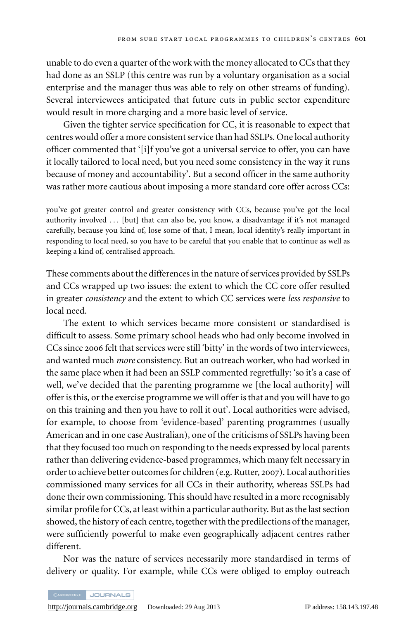unable to do even a quarter of the work with the money allocated to CCs that they had done as an SSLP (this centre was run by a voluntary organisation as a social enterprise and the manager thus was able to rely on other streams of funding). Several interviewees anticipated that future cuts in public sector expenditure would result in more charging and a more basic level of service.

Given the tighter service specification for CC, it is reasonable to expect that centres would offer a more consistent service than had SSLPs. One local authority officer commented that '[i]f you've got a universal service to offer, you can have it locally tailored to local need, but you need some consistency in the way it runs because of money and accountability'. But a second officer in the same authority was rather more cautious about imposing a more standard core offer across CCs:

you've got greater control and greater consistency with CCs, because you've got the local authority involved *...* [but] that can also be, you know, a disadvantage if it's not managed carefully, because you kind of, lose some of that, I mean, local identity's really important in responding to local need, so you have to be careful that you enable that to continue as well as keeping a kind of, centralised approach.

These comments about the differences in the nature of services provided by SSLPs and CCs wrapped up two issues: the extent to which the CC core offer resulted in greater *consistency* and the extent to which CC services were *less responsive* to local need.

The extent to which services became more consistent or standardised is difficult to assess. Some primary school heads who had only become involved in CCs since 2006 felt that services were still 'bitty' in the words of two interviewees, and wanted much *more* consistency. But an outreach worker, who had worked in the same place when it had been an SSLP commented regretfully: 'so it's a case of well, we've decided that the parenting programme we [the local authority] will offer is this, or the exercise programme we will offer is that and you will have to go on this training and then you have to roll it out'. Local authorities were advised, for example, to choose from 'evidence-based' parenting programmes (usually American and in one case Australian), one of the criticisms of SSLPs having been that they focused too much on responding to the needs expressed by local parents rather than delivering evidence-based programmes, which many felt necessary in order to achieve better outcomes for children (e.g. Rutter, 2007). Local authorities commissioned many services for all CCs in their authority, whereas SSLPs had done their own commissioning. This should have resulted in a more recognisably similar profile for CCs, at least within a particular authority. But as the last section showed, the history of each centre, together with the predilections of the manager, were sufficiently powerful to make even geographically adjacent centres rather different.

Nor was the nature of services necessarily more standardised in terms of delivery or quality. For example, while CCs were obliged to employ outreach

CAMBRIDGE JOURNALS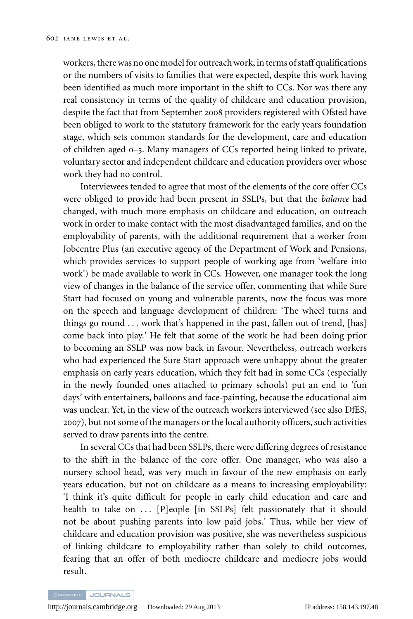workers, there was no one model for outreach work, in terms of staff qualifications or the numbers of visits to families that were expected, despite this work having been identified as much more important in the shift to CCs. Nor was there any real consistency in terms of the quality of childcare and education provision, despite the fact that from September 2008 providers registered with Ofsted have been obliged to work to the statutory framework for the early years foundation stage, which sets common standards for the development, care and education of children aged 0–5. Many managers of CCs reported being linked to private, voluntary sector and independent childcare and education providers over whose work they had no control.

Interviewees tended to agree that most of the elements of the core offer CCs were obliged to provide had been present in SSLPs, but that the *balance* had changed, with much more emphasis on childcare and education, on outreach work in order to make contact with the most disadvantaged families, and on the employability of parents, with the additional requirement that a worker from Jobcentre Plus (an executive agency of the Department of Work and Pensions, which provides services to support people of working age from 'welfare into work') be made available to work in CCs. However, one manager took the long view of changes in the balance of the service offer, commenting that while Sure Start had focused on young and vulnerable parents, now the focus was more on the speech and language development of children: 'The wheel turns and things go round *...* work that's happened in the past, fallen out of trend, [has] come back into play.' He felt that some of the work he had been doing prior to becoming an SSLP was now back in favour. Nevertheless, outreach workers who had experienced the Sure Start approach were unhappy about the greater emphasis on early years education, which they felt had in some CCs (especially in the newly founded ones attached to primary schools) put an end to 'fun days' with entertainers, balloons and face-painting, because the educational aim was unclear. Yet, in the view of the outreach workers interviewed (see also DfES, 2007), but not some of the managers or the local authority officers, such activities served to draw parents into the centre.

In several CCs that had been SSLPs, there were differing degrees of resistance to the shift in the balance of the core offer. One manager, who was also a nursery school head, was very much in favour of the new emphasis on early years education, but not on childcare as a means to increasing employability: 'I think it's quite difficult for people in early child education and care and health to take on *...* [P]eople [in SSLPs] felt passionately that it should not be about pushing parents into low paid jobs.' Thus, while her view of childcare and education provision was positive, she was nevertheless suspicious of linking childcare to employability rather than solely to child outcomes, fearing that an offer of both mediocre childcare and mediocre jobs would result.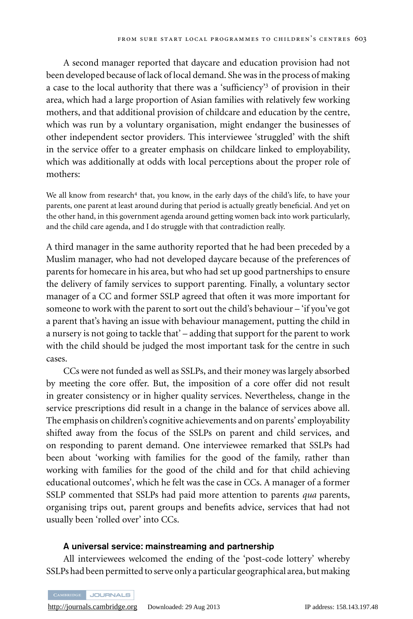A second manager reported that daycare and education provision had not been developed because of lack of local demand. She was in the process of making a case to the local authority that there was a 'sufficiency'<sup>3</sup> of provision in their area, which had a large proportion of Asian families with relatively few working mothers, and that additional provision of childcare and education by the centre, which was run by a voluntary organisation, might endanger the businesses of other independent sector providers. This interviewee 'struggled' with the shift in the service offer to a greater emphasis on childcare linked to employability, which was additionally at odds with local perceptions about the proper role of mothers:

We all know from research<sup>4</sup> that, you know, in the early days of the child's life, to have your parents, one parent at least around during that period is actually greatly beneficial. And yet on the other hand, in this government agenda around getting women back into work particularly, and the child care agenda, and I do struggle with that contradiction really.

A third manager in the same authority reported that he had been preceded by a Muslim manager, who had not developed daycare because of the preferences of parents for homecare in his area, but who had set up good partnerships to ensure the delivery of family services to support parenting. Finally, a voluntary sector manager of a CC and former SSLP agreed that often it was more important for someone to work with the parent to sort out the child's behaviour – 'if you've got a parent that's having an issue with behaviour management, putting the child in a nursery is not going to tackle that' – adding that support for the parent to work with the child should be judged the most important task for the centre in such cases.

CCs were not funded as well as SSLPs, and their money was largely absorbed by meeting the core offer. But, the imposition of a core offer did not result in greater consistency or in higher quality services. Nevertheless, change in the service prescriptions did result in a change in the balance of services above all. The emphasis on children's cognitive achievements and on parents' employability shifted away from the focus of the SSLPs on parent and child services, and on responding to parent demand. One interviewee remarked that SSLPs had been about 'working with families for the good of the family, rather than working with families for the good of the child and for that child achieving educational outcomes', which he felt was the case in CCs. A manager of a former SSLP commented that SSLPs had paid more attention to parents *qua* parents, organising trips out, parent groups and benefits advice, services that had not usually been 'rolled over' into CCs.

#### **A universal service: mainstreaming and partnership**

All interviewees welcomed the ending of the 'post-code lottery' whereby SSLPs had been permitted to serve only a particular geographical area, but making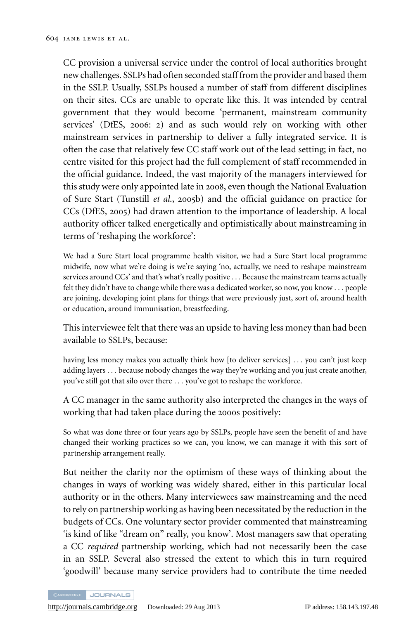CC provision a universal service under the control of local authorities brought new challenges. SSLPs had often seconded staff from the provider and based them in the SSLP. Usually, SSLPs housed a number of staff from different disciplines on their sites. CCs are unable to operate like this. It was intended by central government that they would become 'permanent, mainstream community services' (DfES, 2006: 2) and as such would rely on working with other mainstream services in partnership to deliver a fully integrated service. It is often the case that relatively few CC staff work out of the lead setting; in fact, no centre visited for this project had the full complement of staff recommended in the official guidance. Indeed, the vast majority of the managers interviewed for this study were only appointed late in 2008, even though the National Evaluation of Sure Start (Tunstill *et al*., 2005b) and the official guidance on practice for CCs (DfES, 2005) had drawn attention to the importance of leadership. A local authority officer talked energetically and optimistically about mainstreaming in terms of 'reshaping the workforce':

We had a Sure Start local programme health visitor, we had a Sure Start local programme midwife, now what we're doing is we're saying 'no, actually, we need to reshape mainstream services around CCs' and that's what's really positive *...* Because the mainstream teams actually felt they didn't have to change while there was a dedicated worker, so now, you know *...* people are joining, developing joint plans for things that were previously just, sort of, around health or education, around immunisation, breastfeeding.

This interviewee felt that there was an upside to having less money than had been available to SSLPs, because:

having less money makes you actually think how [to deliver services] *...* you can't just keep adding layers *...* because nobody changes the way they're working and you just create another, you've still got that silo over there *...* you've got to reshape the workforce.

A CC manager in the same authority also interpreted the changes in the ways of working that had taken place during the 2000s positively:

So what was done three or four years ago by SSLPs, people have seen the benefit of and have changed their working practices so we can, you know, we can manage it with this sort of partnership arrangement really.

But neither the clarity nor the optimism of these ways of thinking about the changes in ways of working was widely shared, either in this particular local authority or in the others. Many interviewees saw mainstreaming and the need to rely on partnership working as having been necessitated by the reduction in the budgets of CCs. One voluntary sector provider commented that mainstreaming 'is kind of like "dream on" really, you know'. Most managers saw that operating a CC *required* partnership working, which had not necessarily been the case in an SSLP. Several also stressed the extent to which this in turn required 'goodwill' because many service providers had to contribute the time needed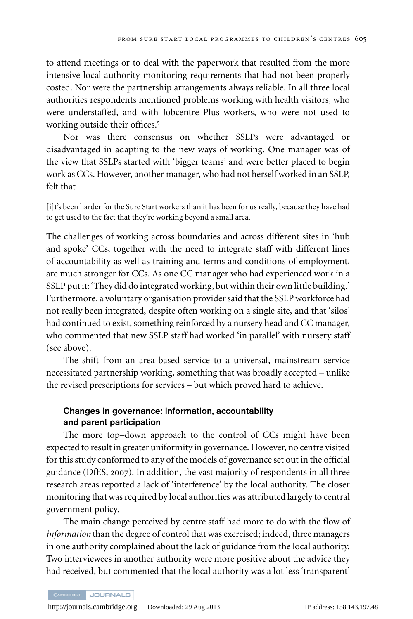to attend meetings or to deal with the paperwork that resulted from the more intensive local authority monitoring requirements that had not been properly costed. Nor were the partnership arrangements always reliable. In all three local authorities respondents mentioned problems working with health visitors, who were understaffed, and with Jobcentre Plus workers, who were not used to working outside their offices.<sup>5</sup>

Nor was there consensus on whether SSLPs were advantaged or disadvantaged in adapting to the new ways of working. One manager was of the view that SSLPs started with 'bigger teams' and were better placed to begin work as CCs. However, another manager, who had not herself worked in an SSLP, felt that

[i]t's been harder for the Sure Start workers than it has been for us really, because they have had to get used to the fact that they're working beyond a small area.

The challenges of working across boundaries and across different sites in 'hub and spoke' CCs, together with the need to integrate staff with different lines of accountability as well as training and terms and conditions of employment, are much stronger for CCs. As one CC manager who had experienced work in a SSLP put it: 'They did do integrated working, but within their own little building.' Furthermore, a voluntary organisation provider said that the SSLP workforce had not really been integrated, despite often working on a single site, and that 'silos' had continued to exist, something reinforced by a nursery head and CC manager, who commented that new SSLP staff had worked 'in parallel' with nursery staff (see above).

The shift from an area-based service to a universal, mainstream service necessitated partnership working, something that was broadly accepted – unlike the revised prescriptions for services – but which proved hard to achieve.

#### **Changes in governance: information, accountability and parent participation**

The more top–down approach to the control of CCs might have been expected to result in greater uniformity in governance. However, no centre visited for this study conformed to any of the models of governance set out in the official guidance (DfES, 2007). In addition, the vast majority of respondents in all three research areas reported a lack of 'interference' by the local authority. The closer monitoring that was required by local authorities was attributed largely to central government policy.

The main change perceived by centre staff had more to do with the flow of *information* than the degree of control that was exercised; indeed, three managers in one authority complained about the lack of guidance from the local authority. Two interviewees in another authority were more positive about the advice they had received, but commented that the local authority was a lot less 'transparent'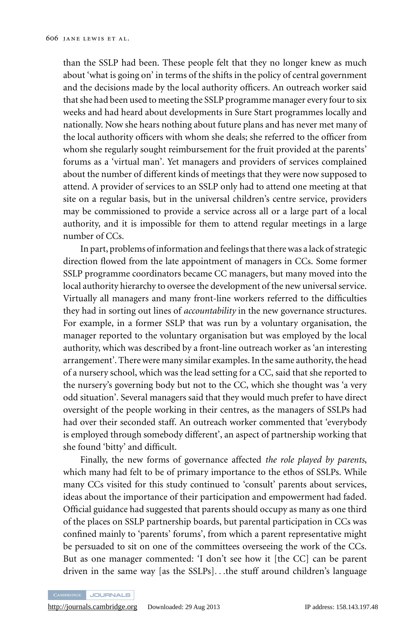than the SSLP had been. These people felt that they no longer knew as much about 'what is going on' in terms of the shifts in the policy of central government and the decisions made by the local authority officers. An outreach worker said that she had been used to meeting the SSLP programme manager every four to six weeks and had heard about developments in Sure Start programmes locally and nationally. Now she hears nothing about future plans and has never met many of the local authority officers with whom she deals; she referred to the officer from whom she regularly sought reimbursement for the fruit provided at the parents' forums as a 'virtual man'. Yet managers and providers of services complained about the number of different kinds of meetings that they were now supposed to attend. A provider of services to an SSLP only had to attend one meeting at that site on a regular basis, but in the universal children's centre service, providers may be commissioned to provide a service across all or a large part of a local authority, and it is impossible for them to attend regular meetings in a large number of CCs.

In part, problems of information and feelings that there was a lack of strategic direction flowed from the late appointment of managers in CCs. Some former SSLP programme coordinators became CC managers, but many moved into the local authority hierarchy to oversee the development of the new universal service. Virtually all managers and many front-line workers referred to the difficulties they had in sorting out lines of *accountability* in the new governance structures. For example, in a former SSLP that was run by a voluntary organisation, the manager reported to the voluntary organisation but was employed by the local authority, which was described by a front-line outreach worker as 'an interesting arrangement'. There were many similar examples. In the same authority, the head of a nursery school, which was the lead setting for a CC, said that she reported to the nursery's governing body but not to the CC, which she thought was 'a very odd situation'. Several managers said that they would much prefer to have direct oversight of the people working in their centres, as the managers of SSLPs had had over their seconded staff. An outreach worker commented that 'everybody is employed through somebody different', an aspect of partnership working that she found 'bitty' and difficult.

Finally, the new forms of governance affected *the role played by parents*, which many had felt to be of primary importance to the ethos of SSLPs. While many CCs visited for this study continued to 'consult' parents about services, ideas about the importance of their participation and empowerment had faded. Official guidance had suggested that parents should occupy as many as one third of the places on SSLP partnership boards, but parental participation in CCs was confined mainly to 'parents' forums', from which a parent representative might be persuaded to sit on one of the committees overseeing the work of the CCs. But as one manager commented: 'I don't see how it [the CC] can be parent driven in the same way [as the SSLPs]*...*the stuff around children's language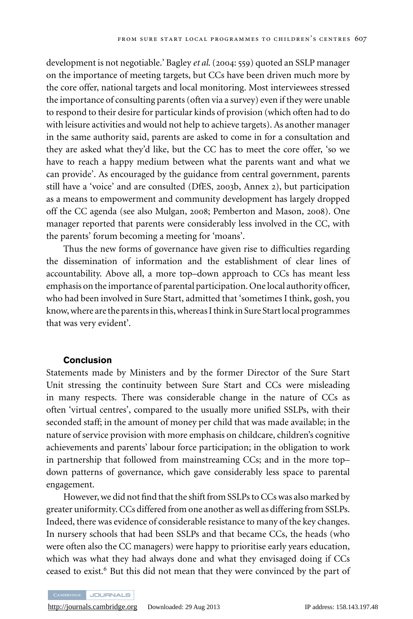development is not negotiable.' Bagley *et al.* (2004: 559) quoted an SSLP manager on the importance of meeting targets, but CCs have been driven much more by the core offer, national targets and local monitoring. Most interviewees stressed the importance of consulting parents (often via a survey) even if they were unable to respond to their desire for particular kinds of provision (which often had to do with leisure activities and would not help to achieve targets). As another manager in the same authority said, parents are asked to come in for a consultation and they are asked what they'd like, but the CC has to meet the core offer, 'so we have to reach a happy medium between what the parents want and what we can provide'. As encouraged by the guidance from central government, parents still have a 'voice' and are consulted (DfES, 2003b, Annex 2), but participation as a means to empowerment and community development has largely dropped off the CC agenda (see also Mulgan, 2008; Pemberton and Mason, 2008). One manager reported that parents were considerably less involved in the CC, with the parents' forum becoming a meeting for 'moans'.

Thus the new forms of governance have given rise to difficulties regarding the dissemination of information and the establishment of clear lines of accountability. Above all, a more top–down approach to CCs has meant less emphasis on the importance of parental participation. One local authority officer, who had been involved in Sure Start, admitted that 'sometimes I think, gosh, you know, where are the parents in this, whereas I think in Sure Start local programmes that was very evident'.

#### **Conclusion**

Statements made by Ministers and by the former Director of the Sure Start Unit stressing the continuity between Sure Start and CCs were misleading in many respects. There was considerable change in the nature of CCs as often 'virtual centres', compared to the usually more unified SSLPs, with their seconded staff; in the amount of money per child that was made available; in the nature of service provision with more emphasis on childcare, children's cognitive achievements and parents' labour force participation; in the obligation to work in partnership that followed from mainstreaming CCs; and in the more top– down patterns of governance, which gave considerably less space to parental engagement.

However, we did not find that the shift from SSLPs to CCs was also marked by greater uniformity. CCs differed from one another as well as differing from SSLPs. Indeed, there was evidence of considerable resistance to many of the key changes. In nursery schools that had been SSLPs and that became CCs, the heads (who were often also the CC managers) were happy to prioritise early years education, which was what they had always done and what they envisaged doing if CCs ceased to exist.<sup>6</sup> But this did not mean that they were convinced by the part of

CAMBRIDGE JOURNALS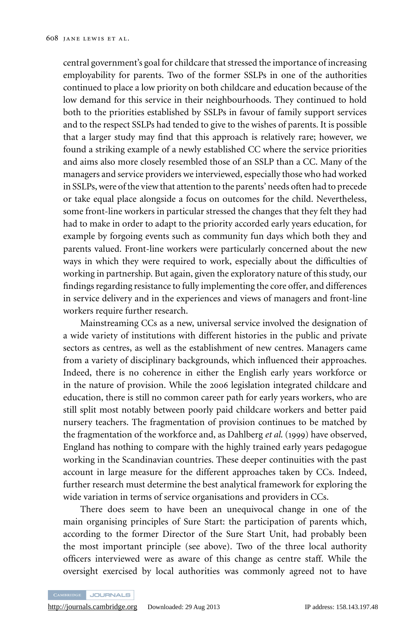central government's goal for childcare that stressed the importance of increasing employability for parents. Two of the former SSLPs in one of the authorities continued to place a low priority on both childcare and education because of the low demand for this service in their neighbourhoods. They continued to hold both to the priorities established by SSLPs in favour of family support services and to the respect SSLPs had tended to give to the wishes of parents. It is possible that a larger study may find that this approach is relatively rare; however, we found a striking example of a newly established CC where the service priorities and aims also more closely resembled those of an SSLP than a CC. Many of the managers and service providers we interviewed, especially those who had worked in SSLPs, were of the view that attention to the parents' needs often had to precede or take equal place alongside a focus on outcomes for the child. Nevertheless, some front-line workers in particular stressed the changes that they felt they had had to make in order to adapt to the priority accorded early years education, for example by forgoing events such as community fun days which both they and parents valued. Front-line workers were particularly concerned about the new ways in which they were required to work, especially about the difficulties of working in partnership. But again, given the exploratory nature of this study, our findings regarding resistance to fully implementing the core offer, and differences in service delivery and in the experiences and views of managers and front-line workers require further research.

Mainstreaming CCs as a new, universal service involved the designation of a wide variety of institutions with different histories in the public and private sectors as centres, as well as the establishment of new centres. Managers came from a variety of disciplinary backgrounds, which influenced their approaches. Indeed, there is no coherence in either the English early years workforce or in the nature of provision. While the 2006 legislation integrated childcare and education, there is still no common career path for early years workers, who are still split most notably between poorly paid childcare workers and better paid nursery teachers. The fragmentation of provision continues to be matched by the fragmentation of the workforce and, as Dahlberg *et al*. (1999) have observed, England has nothing to compare with the highly trained early years pedagogue working in the Scandinavian countries. These deeper continuities with the past account in large measure for the different approaches taken by CCs. Indeed, further research must determine the best analytical framework for exploring the wide variation in terms of service organisations and providers in CCs.

There does seem to have been an unequivocal change in one of the main organising principles of Sure Start: the participation of parents which, according to the former Director of the Sure Start Unit, had probably been the most important principle (see above). Two of the three local authority officers interviewed were as aware of this change as centre staff. While the oversight exercised by local authorities was commonly agreed not to have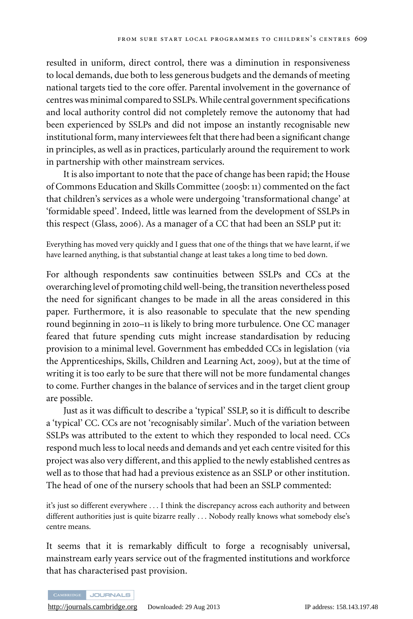resulted in uniform, direct control, there was a diminution in responsiveness to local demands, due both to less generous budgets and the demands of meeting national targets tied to the core offer. Parental involvement in the governance of centres was minimal compared to SSLPs. While central government specifications and local authority control did not completely remove the autonomy that had been experienced by SSLPs and did not impose an instantly recognisable new institutional form, many interviewees felt that there had been a significant change in principles, as well as in practices, particularly around the requirement to work in partnership with other mainstream services.

It is also important to note that the pace of change has been rapid; the House of Commons Education and Skills Committee (2005b: 11) commented on the fact that children's services as a whole were undergoing 'transformational change' at 'formidable speed'. Indeed, little was learned from the development of SSLPs in this respect (Glass, 2006). As a manager of a CC that had been an SSLP put it:

Everything has moved very quickly and I guess that one of the things that we have learnt, if we have learned anything, is that substantial change at least takes a long time to bed down.

For although respondents saw continuities between SSLPs and CCs at the overarching level of promoting child well-being, the transition nevertheless posed the need for significant changes to be made in all the areas considered in this paper. Furthermore, it is also reasonable to speculate that the new spending round beginning in 2010–11 is likely to bring more turbulence. One CC manager feared that future spending cuts might increase standardisation by reducing provision to a minimal level. Government has embedded CCs in legislation (via the Apprenticeships, Skills, Children and Learning Act, 2009), but at the time of writing it is too early to be sure that there will not be more fundamental changes to come. Further changes in the balance of services and in the target client group are possible.

Just as it was difficult to describe a 'typical' SSLP, so it is difficult to describe a 'typical' CC. CCs are not 'recognisably similar'. Much of the variation between SSLPs was attributed to the extent to which they responded to local need. CCs respond much less to local needs and demands and yet each centre visited for this project was also very different, and this applied to the newly established centres as well as to those that had had a previous existence as an SSLP or other institution. The head of one of the nursery schools that had been an SSLP commented:

it's just so different everywhere *...* I think the discrepancy across each authority and between different authorities just is quite bizarre really *...* Nobody really knows what somebody else's centre means.

It seems that it is remarkably difficult to forge a recognisably universal, mainstream early years service out of the fragmented institutions and workforce that has characterised past provision.

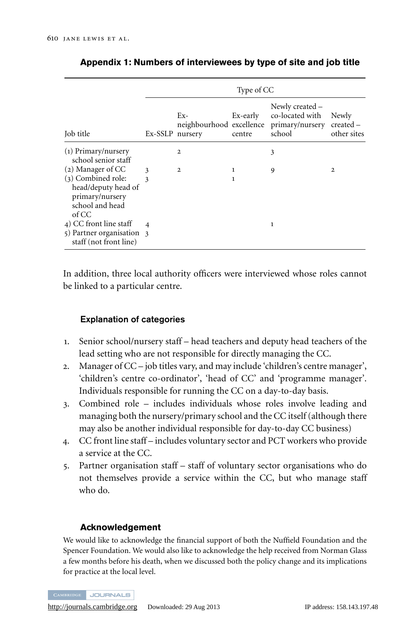|                                                                                                                   | Type of CC      |                |                    |                                                                                          |                                     |  |
|-------------------------------------------------------------------------------------------------------------------|-----------------|----------------|--------------------|------------------------------------------------------------------------------------------|-------------------------------------|--|
| Job title                                                                                                         | Ex-SSLP nursery | $Ex-$          | Ex-early<br>centre | Newly created –<br>co-located with<br>neighbourhood excellence primary/nursery<br>school | Newly<br>$created -$<br>other sites |  |
| $(1)$ Primary/nursery<br>school senior staff                                                                      |                 | $\overline{2}$ |                    | 3                                                                                        |                                     |  |
| $(2)$ Manager of CC<br>$(3)$ Combined role:<br>head/deputy head of<br>primary/nursery<br>school and head<br>of CC | 3<br>3          | $\overline{2}$ | 1<br>1             | 9                                                                                        | $\overline{2}$                      |  |
| 4) CC front line staff<br>5) Partner organisation 3<br>staff (not front line)                                     | $\overline{4}$  |                |                    | ı                                                                                        |                                     |  |

| Appendix 1: Numbers of interviewees by type of site and job title |  |  |  |
|-------------------------------------------------------------------|--|--|--|
|-------------------------------------------------------------------|--|--|--|

In addition, three local authority officers were interviewed whose roles cannot be linked to a particular centre.

#### **Explanation of categories**

- 1. Senior school/nursery staff head teachers and deputy head teachers of the lead setting who are not responsible for directly managing the CC.
- 2. Manager of CC job titles vary, and may include 'children's centre manager', 'children's centre co-ordinator', 'head of CC' and 'programme manager'. Individuals responsible for running the CC on a day-to-day basis.
- 3. Combined role includes individuals whose roles involve leading and managing both the nursery/primary school and the CC itself (although there may also be another individual responsible for day-to-day CC business)
- 4. CC front line staff includes voluntary sector and PCT workers who provide a service at the CC.
- 5. Partner organisation staff staff of voluntary sector organisations who do not themselves provide a service within the CC, but who manage staff who do.

#### **Acknowledgement**

We would like to acknowledge the financial support of both the Nuffield Foundation and the Spencer Foundation. We would also like to acknowledge the help received from Norman Glass a few months before his death, when we discussed both the policy change and its implications for practice at the local level.

**JOURNALS**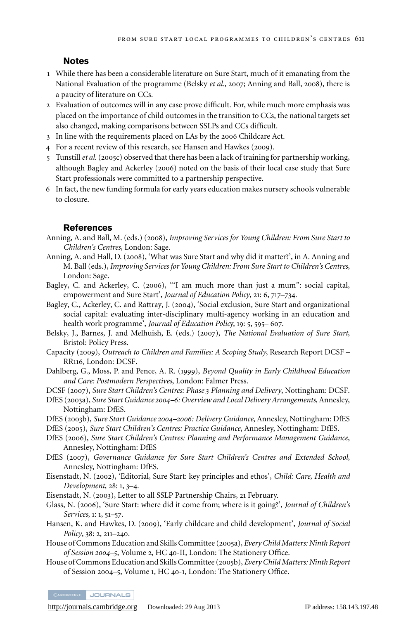#### **Notes**

- 1 While there has been a considerable literature on Sure Start, much of it emanating from the National Evaluation of the programme (Belsky *et al.*, 2007; Anning and Ball, 2008), there is a paucity of literature on CCs.
- 2 Evaluation of outcomes will in any case prove difficult. For, while much more emphasis was placed on the importance of child outcomes in the transition to CCs, the national targets set also changed, making comparisons between SSLPs and CCs difficult.
- 3 In line with the requirements placed on LAs by the 2006 Childcare Act.
- 4 For a recent review of this research, see Hansen and Hawkes (2009).
- 5 Tunstill*et al.*(2005c) observed that there has been a lack of training for partnership working, although Bagley and Ackerley (2006) noted on the basis of their local case study that Sure Start professionals were committed to a partnership perspective.
- 6 In fact, the new funding formula for early years education makes nursery schools vulnerable to closure.

#### **References**

- Anning, A. and Ball, M. (eds.) (2008), *Improving Services for Young Children: From Sure Start to Children's Centres*, London: Sage.
- Anning, A. and Hall, D. (2008), 'What was Sure Start and why did it matter?', in A. Anning and M. Ball (eds.), *Improving Services for Young Children: From Sure Start to Children's Centres*, London: Sage.
- Bagley, C. and Ackerley, C. (2006), '"I am much more than just a mum": social capital, empowerment and Sure Start', *Journal of Education Policy*, 21: 6, 717–734.
- Bagley, C., Ackerley, C. and Rattray, J. (2004), 'Social exclusion, Sure Start and organizational social capital: evaluating inter-disciplinary multi-agency working in an education and health work programme', *Journal of Education Polic*y, 19: 5, 595– 607.
- Belsky, J., Barnes, J. and Melhuish, E. (eds.) (2007), *The National Evaluation of Sure Start*, Bristol: Policy Press.
- Capacity (2009), *Outreach to Children and Families: A Scoping Study*, Research Report DCSF RR116, London: DCSF.
- Dahlberg, G., Moss, P. and Pence, A. R. (1999), *Beyond Quality in Early Childhood Education and Care: Postmodern Perspectives*, London: Falmer Press.

DCSF (2007), *Sure Start Children's Centres: Phase 3 Planning and Delivery*, Nottingham: DCSF.

- DfES (2003a), *Sure Start Guidance 2004–6: Overview and Local Delivery Arrangements*, Annesley, Nottingham: DfES.
- DfES (2003b), *Sure Start Guidance 2004–2006: Delivery Guidance*, Annesley, Nottingham: DfES
- DfES (2005), *Sure Start Children's Centres: Practice Guidance*, Annesley, Nottingham: DfES.
- DfES (2006), *Sure Start Children's Centres: Planning and Performance Management Guidance*, Annesley, Nottingham: DfES
- DfES (2007), *Governance Guidance for Sure Start Children's Centres and Extended School*, Annesley, Nottingham: DfES.
- Eisenstadt, N. (2002), 'Editorial, Sure Start: key principles and ethos', *Child: Care, Health and Development*, 28: 1, 3–4.
- Eisenstadt, N. (2003), Letter to all SSLP Partnership Chairs, 21 February.
- Glass, N. (2006), 'Sure Start: where did it come from; where is it going?', *Journal of Children's Services*, 1: 1, 51–57.
- Hansen, K. and Hawkes, D. (2009), 'Early childcare and child development', *Journal of Social Policy*, 38: 2, 211–240.
- House of Commons Education and Skills Committee (2005a), *Every Child Matters: Ninth Report of Session 2004–5*, Volume 2, HC 40-II, London: The Stationery Office.
- House of Commons Education and Skills Committee (2005b), *Every Child Matters: Ninth Report* of Session 2004–5, Volume 1, HC 40-1, London: The Stationery Office.